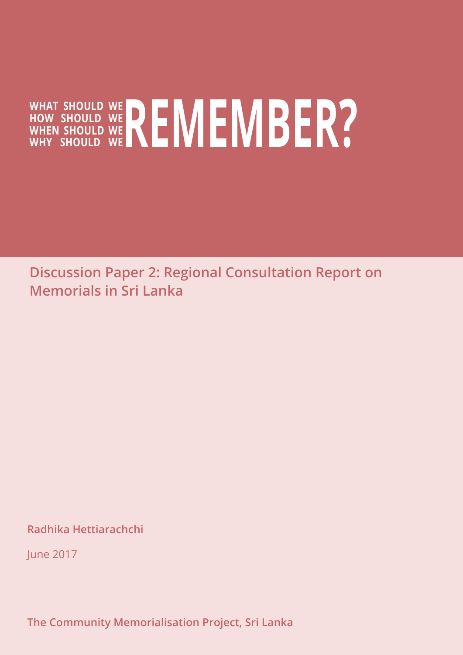# **WHAT SHOULD WE HOW SHOULD WE WHEN SHOULD WE** WHEN SHOULD WE**REIMEIMBER?**

**Discussion Paper 2: Regional Consultation Report on Memorials in Sri Lanka**

**Radhika Hettiarachchi**

June 2017

**The Community Memorialisation Project, Sri Lanka**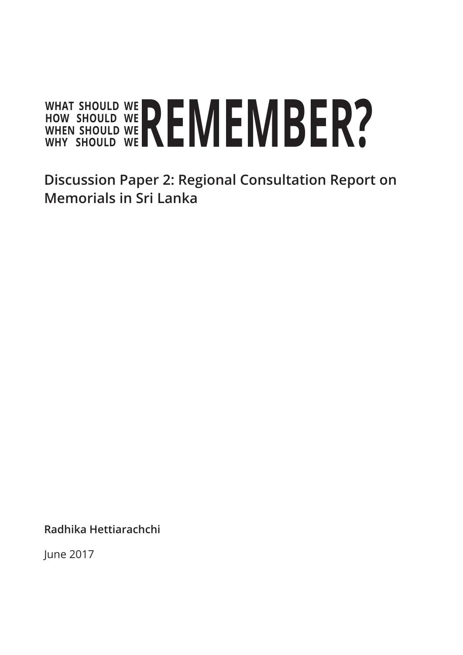# **WHAT SHOULD WE HOW SHOULD WE WHEN SHOULD WE** WHEN SHOULD WE**REIVIEWBER?**

**Discussion Paper 2: Regional Consultation Report on Memorials in Sri Lanka**

**Radhika Hettiarachchi**

June 2017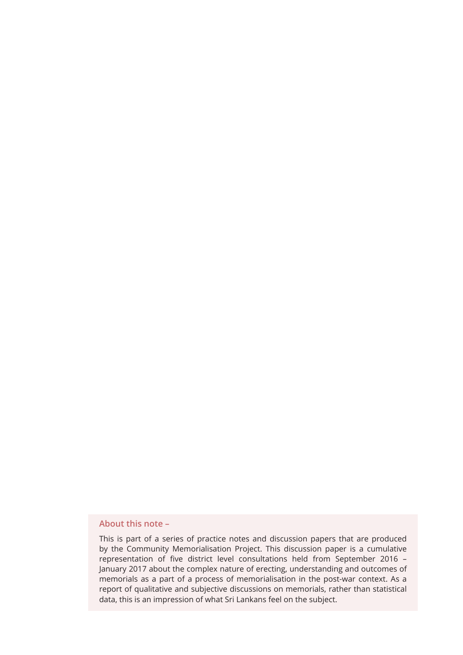#### **About this note –**

This is part of a series of practice notes and discussion papers that are produced by the Community Memorialisation Project. This discussion paper is a cumulative representation of five district level consultations held from September 2016 – January 2017 about the complex nature of erecting, understanding and outcomes of memorials as a part of a process of memorialisation in the post-war context. As a report of qualitative and subjective discussions on memorials, rather than statistical data, this is an impression of what Sri Lankans feel on the subject.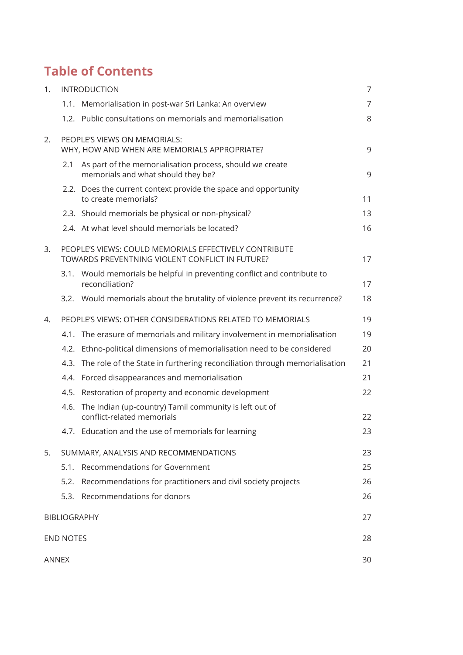# **Table of Contents**

| 1.                  | <b>INTRODUCTION</b>                                                                                       |                                                                                                |                |
|---------------------|-----------------------------------------------------------------------------------------------------------|------------------------------------------------------------------------------------------------|----------------|
|                     | 1.1.                                                                                                      | Memorialisation in post-war Sri Lanka: An overview                                             | $\overline{7}$ |
|                     |                                                                                                           | 1.2. Public consultations on memorials and memorialisation                                     | 8              |
| 2.                  | PEOPLE'S VIEWS ON MEMORIALS:<br>WHY, HOW AND WHEN ARE MEMORIALS APPROPRIATE?                              |                                                                                                |                |
|                     | 2.1                                                                                                       | As part of the memorialisation process, should we create<br>memorials and what should they be? | 9              |
|                     |                                                                                                           | 2.2. Does the current context provide the space and opportunity<br>to create memorials?        | 11             |
|                     |                                                                                                           | 2.3. Should memorials be physical or non-physical?                                             | 13             |
|                     |                                                                                                           | 2.4. At what level should memorials be located?                                                | 16             |
| 3.                  | PEOPLE'S VIEWS: COULD MEMORIALS EFFECTIVELY CONTRIBUTE<br>TOWARDS PREVENTNING VIOLENT CONFLICT IN FUTURE? |                                                                                                | 17             |
|                     | 3.1.                                                                                                      | Would memorials be helpful in preventing conflict and contribute to<br>reconciliation?         | 17             |
|                     |                                                                                                           | 3.2. Would memorials about the brutality of violence prevent its recurrence?                   | 18             |
| 4.                  | PEOPLE'S VIEWS: OTHER CONSIDERATIONS RELATED TO MEMORIALS                                                 |                                                                                                |                |
|                     |                                                                                                           | 4.1. The erasure of memorials and military involvement in memorialisation                      | 19             |
|                     | 4.2.                                                                                                      | Ethno-political dimensions of memorialisation need to be considered                            | 20             |
|                     | 4.3.                                                                                                      | The role of the State in furthering reconciliation through memorialisation                     | 21             |
|                     | 4.4.                                                                                                      | Forced disappearances and memorialisation                                                      | 21             |
|                     |                                                                                                           | 4.5. Restoration of property and economic development                                          | 22             |
|                     | 4.6.                                                                                                      | The Indian (up-country) Tamil community is left out of<br>conflict-related memorials           | 22             |
|                     |                                                                                                           | 4.7. Education and the use of memorials for learning                                           | 23             |
| 5.                  | SUMMARY, ANALYSIS AND RECOMMENDATIONS                                                                     |                                                                                                | 23             |
|                     | 5.1.                                                                                                      | <b>Recommendations for Government</b>                                                          | 25             |
|                     | 5.2.                                                                                                      | Recommendations for practitioners and civil society projects                                   | 26             |
|                     |                                                                                                           | 5.3. Recommendations for donors                                                                | 26             |
| <b>BIBLIOGRAPHY</b> |                                                                                                           |                                                                                                |                |
| <b>END NOTES</b>    |                                                                                                           |                                                                                                | 28             |
|                     | <b>ANNEX</b>                                                                                              |                                                                                                |                |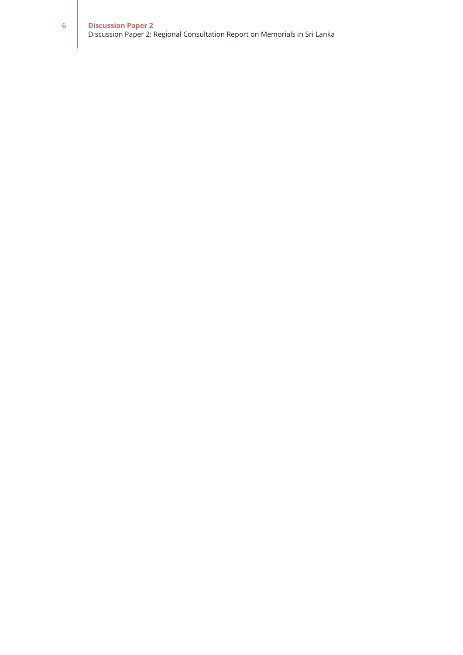#### **Discussion Paper 2**

Discussion Paper 2: Regional Consultation Report on Memorials in Sri Lanka

6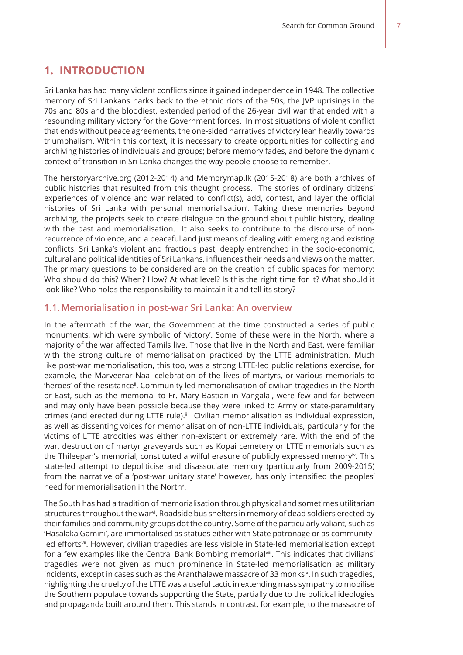# **1. INTRODUCTION**

Sri Lanka has had many violent conflicts since it gained independence in 1948. The collective memory of Sri Lankans harks back to the ethnic riots of the 50s, the JVP uprisings in the 70s and 80s and the bloodiest, extended period of the 26-year civil war that ended with a resounding military victory for the Government forces. In most situations of violent conflict that ends without peace agreements, the one-sided narratives of victory lean heavily towards triumphalism. Within this context, it is necessary to create opportunities for collecting and archiving histories of individuals and groups; before memory fades, and before the dynamic context of transition in Sri Lanka changes the way people choose to remember.

The herstoryarchive.org (2012-2014) and Memorymap.lk (2015-2018) are both archives of public histories that resulted from this thought process. The stories of ordinary citizens' experiences of violence and war related to conflict(s), add, contest, and layer the official histories of Sri Lanka with personal memorialisation<sup>i</sup> . Taking these memories beyond archiving, the projects seek to create dialogue on the ground about public history, dealing with the past and memorialisation. It also seeks to contribute to the discourse of nonrecurrence of violence, and a peaceful and just means of dealing with emerging and existing conflicts. Sri Lanka's violent and fractious past, deeply entrenched in the socio-economic, cultural and political identities of Sri Lankans, influences their needs and views on the matter. The primary questions to be considered are on the creation of public spaces for memory: Who should do this? When? How? At what level? Is this the right time for it? What should it look like? Who holds the responsibility to maintain it and tell its story?

#### **1.1.Memorialisation in post-war Sri Lanka: An overview**

In the aftermath of the war, the Government at the time constructed a series of public monuments, which were symbolic of 'victory'. Some of these were in the North, where a majority of the war affected Tamils live. Those that live in the North and East, were familiar with the strong culture of memorialisation practiced by the LTTE administration. Much like post-war memorialisation, this too, was a strong LTTE-led public relations exercise, for example, the Marveerar Naal celebration of the lives of martyrs, or various memorials to 'heroes' of the resistance<sup>"</sup>. Community led memorialisation of civilian tragedies in the North or East, such as the memorial to Fr. Mary Bastian in Vangalai, were few and far between and may only have been possible because they were linked to Army or state-paramilitary crimes (and erected during LTTE rule).<sup>iii</sup> Civilian memorialisation as individual expression, as well as dissenting voices for memorialisation of non-LTTE individuals, particularly for the victims of LTTE atrocities was either non-existent or extremely rare. With the end of the war, destruction of martyr graveyards such as Kopai cemetery or LTTE memorials such as the Thileepan's memorial, constituted a wilful erasure of publicly expressed memoryiv. This state-led attempt to depoliticise and disassociate memory (particularly from 2009-2015) from the narrative of a 'post-war unitary state' however, has only intensified the peoples' need for memorialisation in the North<sup>y</sup>.

The South has had a tradition of memorialisation through physical and sometimes utilitarian structures throughout the war<sup>vi</sup>. Roadside bus shelters in memory of dead soldiers erected by their families and community groups dot the country. Some of the particularly valiant, such as 'Hasalaka Gamini', are immortalised as statues either with State patronage or as communityled effortsvii. However, civilian tragedies are less visible in State-led memorialisation except for a few examples like the Central Bank Bombing memorial<sup>viii</sup>. This indicates that civilians' tragedies were not given as much prominence in State-led memorialisation as military incidents, except in cases such as the Aranthalawe massacre of 33 monks<sup>ix</sup>. In such tragedies, highlighting the cruelty of the LTTE was a useful tactic in extending mass sympathy to mobilise the Southern populace towards supporting the State, partially due to the political ideologies and propaganda built around them. This stands in contrast, for example, to the massacre of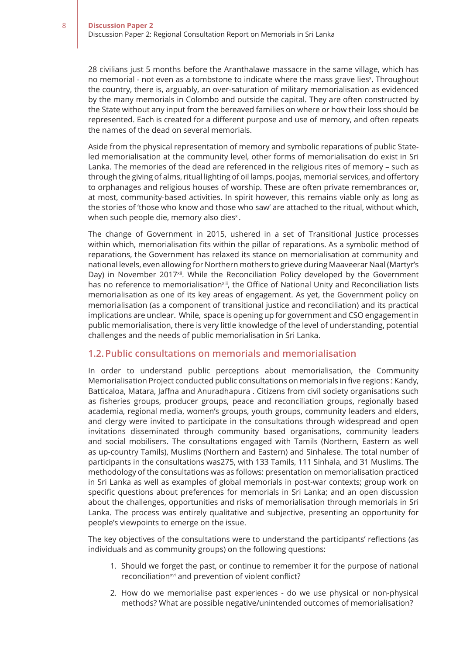28 civilians just 5 months before the Aranthalawe massacre in the same village, which has no memorial - not even as a tombstone to indicate where the mass grave lies<sup>x</sup>. Throughout the country, there is, arguably, an over-saturation of military memorialisation as evidenced by the many memorials in Colombo and outside the capital. They are often constructed by the State without any input from the bereaved families on where or how their loss should be represented. Each is created for a different purpose and use of memory, and often repeats the names of the dead on several memorials.

Aside from the physical representation of memory and symbolic reparations of public Stateled memorialisation at the community level, other forms of memorialisation do exist in Sri Lanka. The memories of the dead are referenced in the religious rites of memory – such as through the giving of alms, ritual lighting of oil lamps, poojas, memorial services, and offertory to orphanages and religious houses of worship. These are often private remembrances or, at most, community-based activities. In spirit however, this remains viable only as long as the stories of 'those who know and those who saw' are attached to the ritual, without which, when such people die, memory also dies<sup>xi</sup>.

The change of Government in 2015, ushered in a set of Transitional Justice processes within which, memorialisation fits within the pillar of reparations. As a symbolic method of reparations, the Government has relaxed its stance on memorialisation at community and national levels, even allowing for Northern mothers to grieve during Maaveerar Naal (Martyr's Day) in November 2017<sup>xii</sup>. While the Reconciliation Policy developed by the Government has no reference to memorialisationxiii, the Office of National Unity and Reconciliation lists memorialisation as one of its key areas of engagement. As yet, the Government policy on memorialisation (as a component of transitional justice and reconciliation) and its practical implications are unclear. While, space is opening up for government and CSO engagement in public memorialisation, there is very little knowledge of the level of understanding, potential challenges and the needs of public memorialisation in Sri Lanka.

## **1.2.Public consultations on memorials and memorialisation**

In order to understand public perceptions about memorialisation, the Community Memorialisation Project conducted public consultations on memorials in five regions : Kandy, Batticaloa, Matara, Jaffna and Anuradhapura . Citizens from civil society organisations such as fisheries groups, producer groups, peace and reconciliation groups, regionally based academia, regional media, women's groups, youth groups, community leaders and elders, and clergy were invited to participate in the consultations through widespread and open invitations disseminated through community based organisations, community leaders and social mobilisers. The consultations engaged with Tamils (Northern, Eastern as well as up-country Tamils), Muslims (Northern and Eastern) and Sinhalese. The total number of participants in the consultations was275, with 133 Tamils, 111 Sinhala, and 31 Muslims. The methodology of the consultations was as follows: presentation on memorialisation practiced in Sri Lanka as well as examples of global memorials in post-war contexts; group work on specific questions about preferences for memorials in Sri Lanka; and an open discussion about the challenges, opportunities and risks of memorialisation through memorials in Sri Lanka. The process was entirely qualitative and subjective, presenting an opportunity for people's viewpoints to emerge on the issue.

The key objectives of the consultations were to understand the participants' reflections (as individuals and as community groups) on the following questions:

- 1. Should we forget the past, or continue to remember it for the purpose of national reconciliation<sup>xvi</sup> and prevention of violent conflict?
- 2. How do we memorialise past experiences do we use physical or non-physical methods? What are possible negative/unintended outcomes of memorialisation?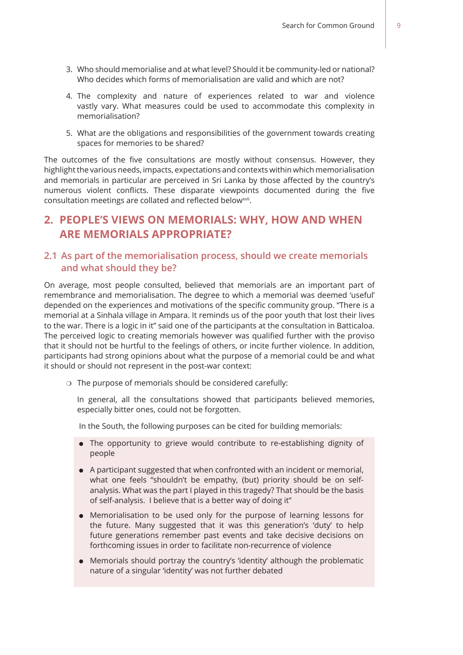- 3. Who should memorialise and at what level? Should it be community-led or national? Who decides which forms of memorialisation are valid and which are not?
- 4. The complexity and nature of experiences related to war and violence vastly vary. What measures could be used to accommodate this complexity in memorialisation?
- 5. What are the obligations and responsibilities of the government towards creating spaces for memories to be shared?

The outcomes of the five consultations are mostly without consensus. However, they highlight the various needs, impacts, expectations and contexts within which memorialisation and memorials in particular are perceived in Sri Lanka by those affected by the country's numerous violent conflicts. These disparate viewpoints documented during the five consultation meetings are collated and reflected below **xvii**.

# **2. PEOPLE'S VIEWS ON MEMORIALS: WHY, HOW AND WHEN ARE MEMORIALS APPROPRIATE?**

## **2.1 As part of the memorialisation process, should we create memorials and what should they be?**

On average, most people consulted, believed that memorials are an important part of remembrance and memorialisation. The degree to which a memorial was deemed 'useful' depended on the experiences and motivations of the specific community group. "There is a memorial at a Sinhala village in Ampara. It reminds us of the poor youth that lost their lives to the war. There is a logic in it" said one of the participants at the consultation in Batticaloa. The perceived logic to creating memorials however was qualified further with the proviso that it should not be hurtful to the feelings of others, or incite further violence. In addition, participants had strong opinions about what the purpose of a memorial could be and what it should or should not represent in the post-war context:

❍ The purpose of memorials should be considered carefully:

In general, all the consultations showed that participants believed memories, especially bitter ones, could not be forgotten.

In the South, the following purposes can be cited for building memorials:

- The opportunity to grieve would contribute to re-establishing dignity of people
- A participant suggested that when confronted with an incident or memorial, what one feels "shouldn't be empathy, (but) priority should be on selfanalysis. What was the part I played in this tragedy? That should be the basis of self-analysis. I believe that is a better way of doing it"
- Memorialisation to be used only for the purpose of learning lessons for the future. Many suggested that it was this generation's 'duty' to help future generations remember past events and take decisive decisions on forthcoming issues in order to facilitate non-recurrence of violence
- Memorials should portray the country's 'identity' although the problematic nature of a singular 'identity' was not further debated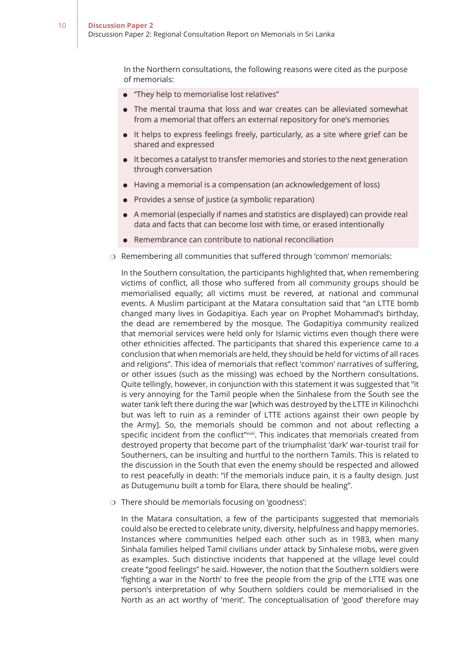In the Northern consultations, the following reasons were cited as the purpose of memorials:

- "They help to memorialise lost relatives"
- The mental trauma that loss and war creates can be alleviated somewhat from a memorial that offers an external repository for one's memories
- It helps to express feelings freely, particularly, as a site where grief can be shared and expressed
- It becomes a catalyst to transfer memories and stories to the next generation through conversation
- Having a memorial is a compensation (an acknowledgement of loss)
- Provides a sense of justice (a symbolic reparation)
- A memorial (especially if names and statistics are displayed) can provide real data and facts that can become lost with time, or erased intentionally
- Remembrance can contribute to national reconciliation
- ❍ Remembering all communities that suffered through 'common' memorials:

In the Southern consultation, the participants highlighted that, when remembering victims of conflict, all those who suffered from all community groups should be memorialised equally; all victims must be revered, at national and communal events. A Muslim participant at the Matara consultation said that "an LTTE bomb changed many lives in Godapitiya. Each year on Prophet Mohammad's birthday, the dead are remembered by the mosque. The Godapitiya community realized that memorial services were held only for Islamic victims even though there were other ethnicities affected. The participants that shared this experience came to a conclusion that when memorials are held, they should be held for victims of all races and religions". This idea of memorials that reflect 'common' narratives of suffering, or other issues (such as the missing) was echoed by the Northern consultations. Quite tellingly, however, in conjunction with this statement it was suggested that "it is very annoying for the Tamil people when the Sinhalese from the South see the water tank left there during the war [which was destroyed by the LTTE in Kilinochchi but was left to ruin as a reminder of LTTE actions against their own people by the Army]. So, the memorials should be common and not about reflecting a specific incident from the conflict"xviii. This indicates that memorials created from destroyed property that become part of the triumphalist 'dark' war-tourist trail for Southerners, can be insulting and hurtful to the northern Tamils. This is related to the discussion in the South that even the enemy should be respected and allowed to rest peacefully in death: "if the memorials induce pain, it is a faulty design. Just as Dutugemunu built a tomb for Elara, there should be healing".

❍ There should be memorials focusing on 'goodness':

In the Matara consultation, a few of the participants suggested that memorials could also be erected to celebrate unity, diversity, helpfulness and happy memories. Instances where communities helped each other such as in 1983, when many Sinhala families helped Tamil civilians under attack by Sinhalese mobs, were given as examples. Such distinctive incidents that happened at the village level could create "good feelings" he said. However, the notion that the Southern soldiers were 'fighting a war in the North' to free the people from the grip of the LTTE was one person's interpretation of why Southern soldiers could be memorialised in the North as an act worthy of 'merit'. The conceptualisation of 'good' therefore may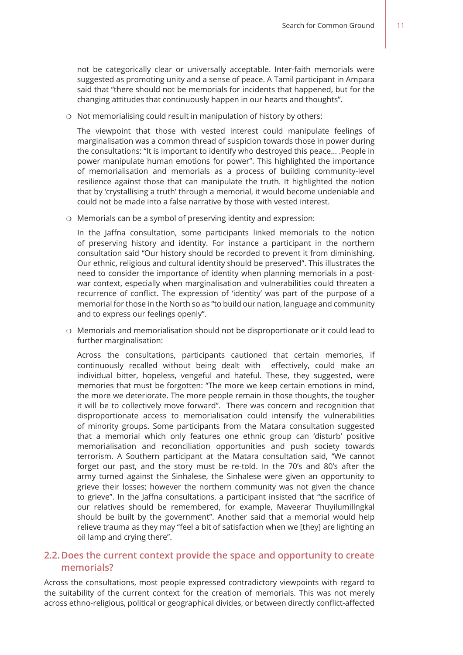not be categorically clear or universally acceptable. Inter-faith memorials were suggested as promoting unity and a sense of peace. A Tamil participant in Ampara said that "there should not be memorials for incidents that happened, but for the changing attitudes that continuously happen in our hearts and thoughts".

❍ Not memorialising could result in manipulation of history by others:

The viewpoint that those with vested interest could manipulate feelings of marginalisation was a common thread of suspicion towards those in power during the consultations: "It is important to identify who destroyed this peace… .People in power manipulate human emotions for power". This highlighted the importance of memorialisation and memorials as a process of building community-level resilience against those that can manipulate the truth. It highlighted the notion that by 'crystallising a truth' through a memorial, it would become undeniable and could not be made into a false narrative by those with vested interest.

❍ Memorials can be a symbol of preserving identity and expression:

In the Jaffna consultation, some participants linked memorials to the notion of preserving history and identity. For instance a participant in the northern consultation said "Our history should be recorded to prevent it from diminishing. Our ethnic, religious and cultural identity should be preserved". This illustrates the need to consider the importance of identity when planning memorials in a postwar context, especially when marginalisation and vulnerabilities could threaten a recurrence of conflict. The expression of 'identity' was part of the purpose of a memorial for those in the North so as "to build our nation, language and community and to express our feelings openly".

❍ Memorials and memorialisation should not be disproportionate or it could lead to further marginalisation:

Across the consultations, participants cautioned that certain memories, if continuously recalled without being dealt with effectively, could make an individual bitter, hopeless, vengeful and hateful. These, they suggested, were memories that must be forgotten: "The more we keep certain emotions in mind, the more we deteriorate. The more people remain in those thoughts, the tougher it will be to collectively move forward". There was concern and recognition that disproportionate access to memorialisation could intensify the vulnerabilities of minority groups. Some participants from the Matara consultation suggested that a memorial which only features one ethnic group can 'disturb' positive memorialisation and reconciliation opportunities and push society towards terrorism. A Southern participant at the Matara consultation said, "We cannot forget our past, and the story must be re-told. In the 70's and 80's after the army turned against the Sinhalese, the Sinhalese were given an opportunity to grieve their losses; however the northern community was not given the chance to grieve". In the Jaffna consultations, a participant insisted that "the sacrifice of our relatives should be remembered, for example, Maveerar Thuyilumillngkal should be built by the government". Another said that a memorial would help relieve trauma as they may "feel a bit of satisfaction when we [they] are lighting an oil lamp and crying there".

## **2.2.Does the current context provide the space and opportunity to create memorials?**

Across the consultations, most people expressed contradictory viewpoints with regard to the suitability of the current context for the creation of memorials. This was not merely across ethno-religious, political or geographical divides, or between directly conflict-affected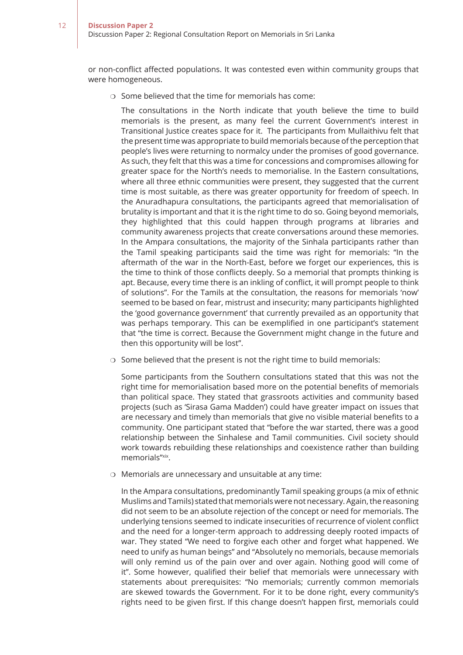or non-conflict affected populations. It was contested even within community groups that were homogeneous.

❍ Some believed that the time for memorials has come:

The consultations in the North indicate that youth believe the time to build memorials is the present, as many feel the current Government's interest in Transitional Justice creates space for it. The participants from Mullaithivu felt that the present time was appropriate to build memorials because of the perception that people's lives were returning to normalcy under the promises of good governance. As such, they felt that this was a time for concessions and compromises allowing for greater space for the North's needs to memorialise. In the Eastern consultations, where all three ethnic communities were present, they suggested that the current time is most suitable, as there was greater opportunity for freedom of speech. In the Anuradhapura consultations, the participants agreed that memorialisation of brutality is important and that it is the right time to do so. Going beyond memorials, they highlighted that this could happen through programs at libraries and community awareness projects that create conversations around these memories. In the Ampara consultations, the majority of the Sinhala participants rather than the Tamil speaking participants said the time was right for memorials: "In the aftermath of the war in the North-East, before we forget our experiences, this is the time to think of those conflicts deeply. So a memorial that prompts thinking is apt. Because, every time there is an inkling of conflict, it will prompt people to think of solutions". For the Tamils at the consultation, the reasons for memorials 'now' seemed to be based on fear, mistrust and insecurity; many participants highlighted the 'good governance government' that currently prevailed as an opportunity that was perhaps temporary. This can be exemplified in one participant's statement that "the time is correct. Because the Government might change in the future and then this opportunity will be lost".

❍ Some believed that the present is not the right time to build memorials:

Some participants from the Southern consultations stated that this was not the right time for memorialisation based more on the potential benefits of memorials than political space. They stated that grassroots activities and community based projects (such as 'Sirasa Gama Madden') could have greater impact on issues that are necessary and timely than memorials that give no visible material benefits to a community. One participant stated that "before the war started, there was a good relationship between the Sinhalese and Tamil communities. Civil society should work towards rebuilding these relationships and coexistence rather than building memorials"xix.

❍ Memorials are unnecessary and unsuitable at any time:

In the Ampara consultations, predominantly Tamil speaking groups (a mix of ethnic Muslims and Tamils) stated that memorials were not necessary. Again, the reasoning did not seem to be an absolute rejection of the concept or need for memorials. The underlying tensions seemed to indicate insecurities of recurrence of violent conflict and the need for a longer-term approach to addressing deeply rooted impacts of war. They stated "We need to forgive each other and forget what happened. We need to unify as human beings" and "Absolutely no memorials, because memorials will only remind us of the pain over and over again. Nothing good will come of it". Some however, qualified their belief that memorials were unnecessary with statements about prerequisites: "No memorials; currently common memorials are skewed towards the Government. For it to be done right, every community's rights need to be given first. If this change doesn't happen first, memorials could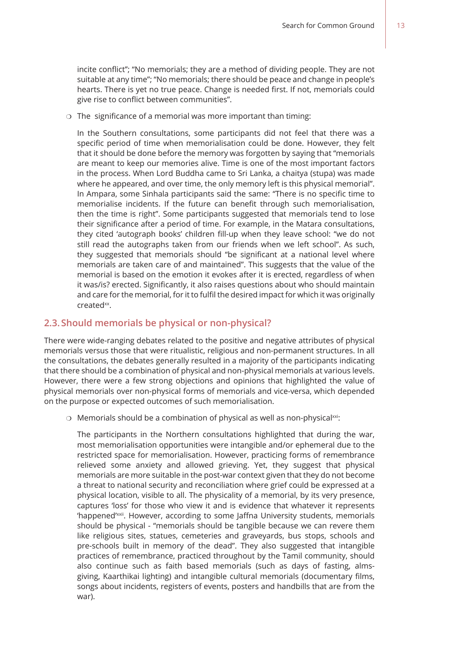incite conflict''; "No memorials; they are a method of dividing people. They are not suitable at any time"; "No memorials; there should be peace and change in people's hearts. There is yet no true peace. Change is needed first. If not, memorials could give rise to conflict between communities".

❍ The significance of a memorial was more important than timing:

In the Southern consultations, some participants did not feel that there was a specific period of time when memorialisation could be done. However, they felt that it should be done before the memory was forgotten by saying that "memorials are meant to keep our memories alive. Time is one of the most important factors in the process. When Lord Buddha came to Sri Lanka, a chaitya (stupa) was made where he appeared, and over time, the only memory left is this physical memorial". In Ampara, some Sinhala participants said the same: "There is no specific time to memorialise incidents. If the future can benefit through such memorialisation, then the time is right". Some participants suggested that memorials tend to lose their significance after a period of time. For example, in the Matara consultations, they cited 'autograph books' children fill-up when they leave school: "we do not still read the autographs taken from our friends when we left school". As such, they suggested that memorials should "be significant at a national level where memorials are taken care of and maintained". This suggests that the value of the memorial is based on the emotion it evokes after it is erected, regardless of when it was/is? erected. Significantly, it also raises questions about who should maintain and care for the memorial, for it to fulfil the desired impact for which it was originally created<sup>xx</sup>.

#### **2.3. Should memorials be physical or non-physical?**

There were wide-ranging debates related to the positive and negative attributes of physical memorials versus those that were ritualistic, religious and non-permanent structures. In all the consultations, the debates generally resulted in a majority of the participants indicating that there should be a combination of physical and non-physical memorials at various levels. However, there were a few strong objections and opinions that highlighted the value of physical memorials over non-physical forms of memorials and vice-versa, which depended on the purpose or expected outcomes of such memorialisation.

❍ Memorials should be a combination of physical as well as non-physicalxxi:

The participants in the Northern consultations highlighted that during the war, most memorialisation opportunities were intangible and/or ephemeral due to the restricted space for memorialisation. However, practicing forms of remembrance relieved some anxiety and allowed grieving. Yet, they suggest that physical memorials are more suitable in the post-war context given that they do not become a threat to national security and reconciliation where grief could be expressed at a physical location, visible to all. The physicality of a memorial, by its very presence, captures 'loss' for those who view it and is evidence that whatever it represents 'happened'xxii. However, according to some Jaffna University students, memorials should be physical - "memorials should be tangible because we can revere them like religious sites, statues, cemeteries and graveyards, bus stops, schools and pre-schools built in memory of the dead". They also suggested that intangible practices of remembrance, practiced throughout by the Tamil community, should also continue such as faith based memorials (such as days of fasting, almsgiving, Kaarthikai lighting) and intangible cultural memorials (documentary films, songs about incidents, registers of events, posters and handbills that are from the war).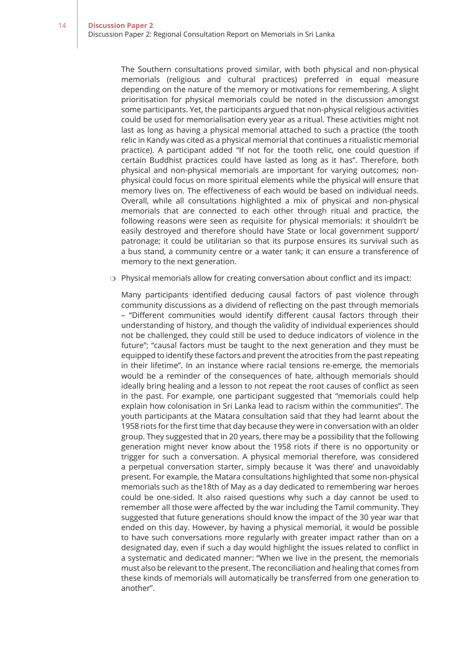The Southern consultations proved similar, with both physical and non-physical memorials (religious and cultural practices) preferred in equal measure depending on the nature of the memory or motivations for remembering. A slight prioritisation for physical memorials could be noted in the discussion amongst some participants. Yet, the participants argued that non-physical religious activities could be used for memorialisation every year as a ritual. These activities might not last as long as having a physical memorial attached to such a practice (the tooth relic in Kandy was cited as a physical memorial that continues a ritualistic memorial practice). A participant added "If not for the tooth relic, one could question if certain Buddhist practices could have lasted as long as it has". Therefore, both physical and non-physical memorials are important for varying outcomes; nonphysical could focus on more spiritual elements while the physical will ensure that memory lives on. The effectiveness of each would be based on individual needs. Overall, while all consultations highlighted a mix of physical and non-physical memorials that are connected to each other through ritual and practice, the following reasons were seen as requisite for physical memorials: it shouldn't be easily destroyed and therefore should have State or local government support/ patronage; it could be utilitarian so that its purpose ensures its survival such as a bus stand, a community centre or a water tank; it can ensure a transference of memory to the next generation.

❍ Physical memorials allow for creating conversation about conflict and its impact:

Many participants identified deducing causal factors of past violence through community discussions as a dividend of reflecting on the past through memorials – "Different communities would identify different causal factors through their understanding of history, and though the validity of individual experiences should not be challenged, they could still be used to deduce indicators of violence in the future"; "causal factors must be taught to the next generation and they must be equipped to identify these factors and prevent the atrocities from the past repeating in their lifetime". In an instance where racial tensions re-emerge, the memorials would be a reminder of the consequences of hate, although memorials should ideally bring healing and a lesson to not repeat the root causes of conflict as seen in the past. For example, one participant suggested that "memorials could help explain how colonisation in Sri Lanka lead to racism within the communities". The youth participants at the Matara consultation said that they had learnt about the 1958 riots for the first time that day because they were in conversation with an older group. They suggested that in 20 years, there may be a possibility that the following generation might never know about the 1958 riots if there is no opportunity or trigger for such a conversation. A physical memorial therefore, was considered a perpetual conversation starter, simply because it 'was there' and unavoidably present. For example, the Matara consultations highlighted that some non-physical memorials such as the18th of May as a day dedicated to remembering war heroes could be one-sided. It also raised questions why such a day cannot be used to remember all those were affected by the war including the Tamil community. They suggested that future generations should know the impact of the 30 year war that ended on this day. However, by having a physical memorial, it would be possible to have such conversations more regularly with greater impact rather than on a designated day, even if such a day would highlight the issues related to conflict in a systematic and dedicated manner: "When we live in the present, the memorials must also be relevant to the present. The reconciliation and healing that comes from these kinds of memorials will automatically be transferred from one generation to another".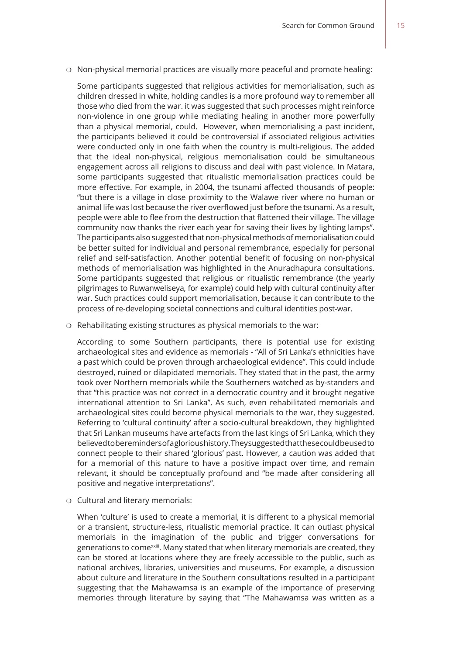❍ Non-physical memorial practices are visually more peaceful and promote healing:

Some participants suggested that religious activities for memorialisation, such as children dressed in white, holding candles is a more profound way to remember all those who died from the war. it was suggested that such processes might reinforce non-violence in one group while mediating healing in another more powerfully than a physical memorial, could. However, when memorialising a past incident, the participants believed it could be controversial if associated religious activities were conducted only in one faith when the country is multi-religious. The added that the ideal non-physical, religious memorialisation could be simultaneous engagement across all religions to discuss and deal with past violence. In Matara, some participants suggested that ritualistic memorialisation practices could be more effective. For example, in 2004, the tsunami affected thousands of people: "but there is a village in close proximity to the Walawe river where no human or animal life was lost because the river overflowed just before the tsunami. As a result, people were able to flee from the destruction that flattened their village. The village community now thanks the river each year for saving their lives by lighting lamps". The participants also suggested that non-physical methods of memorialisation could be better suited for individual and personal remembrance, especially for personal relief and self-satisfaction. Another potential benefit of focusing on non-physical methods of memorialisation was highlighted in the Anuradhapura consultations. Some participants suggested that religious or ritualistic remembrance (the yearly pilgrimages to Ruwanweliseya, for example) could help with cultural continuity after war. Such practices could support memorialisation, because it can contribute to the process of re-developing societal connections and cultural identities post-war.

❍ Rehabilitating existing structures as physical memorials to the war:

According to some Southern participants, there is potential use for existing archaeological sites and evidence as memorials - "All of Sri Lanka's ethnicities have a past which could be proven through archaeological evidence". This could include destroyed, ruined or dilapidated memorials. They stated that in the past, the army took over Northern memorials while the Southerners watched as by-standers and that "this practice was not correct in a democratic country and it brought negative international attention to Sri Lanka". As such, even rehabilitated memorials and archaeological sites could become physical memorials to the war, they suggested. Referring to 'cultural continuity' after a socio-cultural breakdown, they highlighted that Sri Lankan museums have artefacts from the last kings of Sri Lanka, which they believed to be reminders of a glorious history. They suggested that the secould be used to connect people to their shared 'glorious' past. However, a caution was added that for a memorial of this nature to have a positive impact over time, and remain relevant, it should be conceptually profound and "be made after considering all positive and negative interpretations".

❍ Cultural and literary memorials:

When 'culture' is used to create a memorial, it is different to a physical memorial or a transient, structure-less, ritualistic memorial practice. It can outlast physical memorials in the imagination of the public and trigger conversations for generations to come<sup>xxiii</sup>. Many stated that when literary memorials are created, they can be stored at locations where they are freely accessible to the public, such as national archives, libraries, universities and museums. For example, a discussion about culture and literature in the Southern consultations resulted in a participant suggesting that the Mahawamsa is an example of the importance of preserving memories through literature by saying that "The Mahawamsa was written as a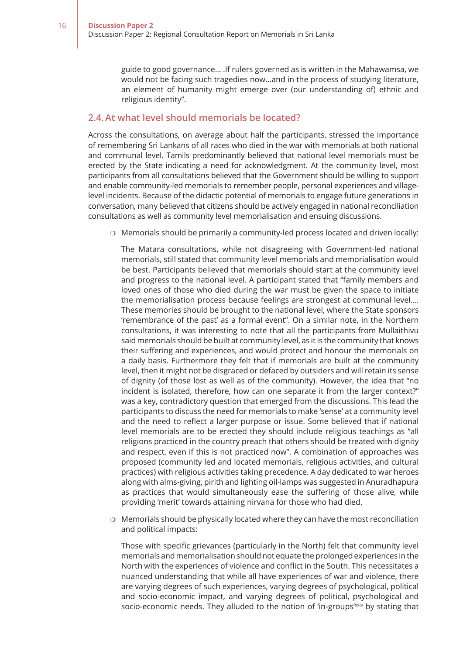guide to good governance… .If rulers governed as is written in the Mahawamsa, we would not be facing such tragedies now…and in the process of studying literature, an element of humanity might emerge over (our understanding of) ethnic and religious identity".

## **2.4.At what level should memorials be located?**

Across the consultations, on average about half the participants, stressed the importance of remembering Sri Lankans of all races who died in the war with memorials at both national and communal level. Tamils predominantly believed that national level memorials must be erected by the State indicating a need for acknowledgment. At the community level, most participants from all consultations believed that the Government should be willing to support and enable community-led memorials to remember people, personal experiences and villagelevel incidents. Because of the didactic potential of memorials to engage future generations in conversation, many believed that citizens should be actively engaged in national reconciliation consultations as well as community level memorialisation and ensuing discussions.

❍ Memorials should be primarily a community-led process located and driven locally:

The Matara consultations, while not disagreeing with Government-led national memorials, still stated that community level memorials and memorialisation would be best. Participants believed that memorials should start at the community level and progress to the national level. A participant stated that "family members and loved ones of those who died during the war must be given the space to initiate the memorialisation process because feelings are strongest at communal level…. These memories should be brought to the national level, where the State sponsors 'remembrance of the past' as a formal event". On a similar note, in the Northern consultations, it was interesting to note that all the participants from Mullaithivu said memorials should be built at community level, as it is the community that knows their suffering and experiences, and would protect and honour the memorials on a daily basis. Furthermore they felt that if memorials are built at the community level, then it might not be disgraced or defaced by outsiders and will retain its sense of dignity (of those lost as well as of the community). However, the idea that "no incident is isolated, therefore, how can one separate it from the larger context?" was a key, contradictory question that emerged from the discussions. This lead the participants to discuss the need for memorials to make 'sense' at a community level and the need to reflect a larger purpose or issue. Some believed that if national level memorials are to be erected they should include religious teachings as "all religions practiced in the country preach that others should be treated with dignity and respect, even if this is not practiced now". A combination of approaches was proposed (community led and located memorials, religious activities, and cultural practices) with religious activities taking precedence. A day dedicated to war heroes along with alms-giving, pirith and lighting oil-lamps was suggested in Anuradhapura as practices that would simultaneously ease the suffering of those alive, while providing 'merit' towards attaining nirvana for those who had died.

❍ Memorials should be physically located where they can have the most reconciliation and political impacts:

Those with specific grievances (particularly in the North) felt that community level memorials and memorialisation should not equate the prolonged experiences in the North with the experiences of violence and conflict in the South. This necessitates a nuanced understanding that while all have experiences of war and violence, there are varying degrees of such experiences, varying degrees of psychological, political and socio-economic impact, and varying degrees of political, psychological and socio-economic needs. They alluded to the notion of 'in-groups'xxiv by stating that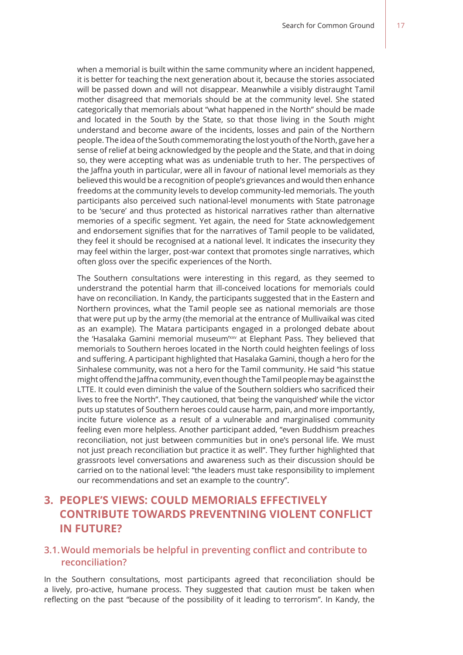when a memorial is built within the same community where an incident happened, it is better for teaching the next generation about it, because the stories associated will be passed down and will not disappear. Meanwhile a visibly distraught Tamil mother disagreed that memorials should be at the community level. She stated categorically that memorials about "what happened in the North" should be made and located in the South by the State, so that those living in the South might understand and become aware of the incidents, losses and pain of the Northern people. The idea of the South commemorating the lost youth of the North, gave her a sense of relief at being acknowledged by the people and the State, and that in doing so, they were accepting what was as undeniable truth to her. The perspectives of the Jaffna youth in particular, were all in favour of national level memorials as they believed this would be a recognition of people's grievances and would then enhance freedoms at the community levels to develop community-led memorials. The youth participants also perceived such national-level monuments with State patronage to be 'secure' and thus protected as historical narratives rather than alternative memories of a specific segment. Yet again, the need for State acknowledgement and endorsement signifies that for the narratives of Tamil people to be validated, they feel it should be recognised at a national level. It indicates the insecurity they may feel within the larger, post-war context that promotes single narratives, which often gloss over the specific experiences of the North.

The Southern consultations were interesting in this regard, as they seemed to understrand the potential harm that ill-conceived locations for memorials could have on reconciliation. In Kandy, the participants suggested that in the Eastern and Northern provinces, what the Tamil people see as national memorials are those that were put up by the army (the memorial at the entrance of Mullivaikal was cited as an example). The Matara participants engaged in a prolonged debate about the 'Hasalaka Gamini memorial museum'<sup>xxv</sup> at Elephant Pass. They believed that memorials to Southern heroes located in the North could heighten feelings of loss and suffering. A participant highlighted that Hasalaka Gamini, though a hero for the Sinhalese community, was not a hero for the Tamil community. He said "his statue might offend the Jaffna community, even though the Tamil people may be against the LTTE. It could even diminish the value of the Southern soldiers who sacrificed their lives to free the North". They cautioned, that 'being the vanquished' while the victor puts up statutes of Southern heroes could cause harm, pain, and more importantly, incite future violence as a result of a vulnerable and marginalised community feeling even more helpless. Another participant added, "even Buddhism preaches reconciliation, not just between communities but in one's personal life. We must not just preach reconciliation but practice it as well". They further highlighted that grassroots level conversations and awareness such as their discussion should be carried on to the national level: "the leaders must take responsibility to implement our recommendations and set an example to the country".

# **3. PEOPLE'S VIEWS: COULD MEMORIALS EFFECTIVELY CONTRIBUTE TOWARDS PREVENTNING VIOLENT CONFLICT IN FUTURE?**

## **3.1. Would memorials be helpful in preventing conflict and contribute to reconciliation?**

In the Southern consultations, most participants agreed that reconciliation should be a lively, pro-active, humane process. They suggested that caution must be taken when reflecting on the past "because of the possibility of it leading to terrorism". In Kandy, the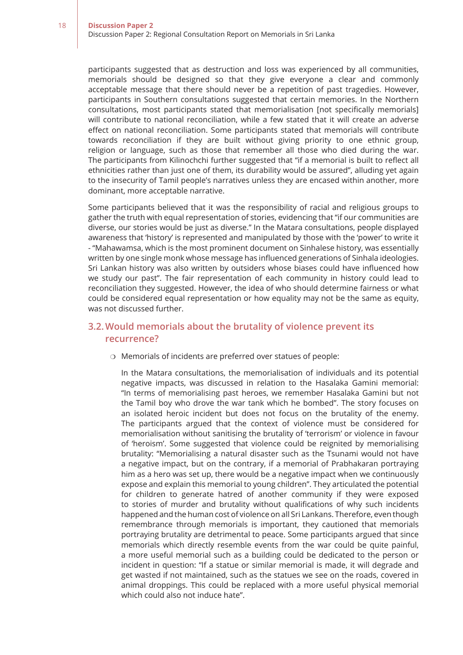participants suggested that as destruction and loss was experienced by all communities, memorials should be designed so that they give everyone a clear and commonly acceptable message that there should never be a repetition of past tragedies. However, participants in Southern consultations suggested that certain memories. In the Northern consultations, most participants stated that memorialisation [not specifically memorials] will contribute to national reconciliation, while a few stated that it will create an adverse effect on national reconciliation. Some participants stated that memorials will contribute towards reconciliation if they are built without giving priority to one ethnic group, religion or language, such as those that remember all those who died during the war. The participants from Kilinochchi further suggested that "if a memorial is built to reflect all ethnicities rather than just one of them, its durability would be assured", alluding yet again to the insecurity of Tamil people's narratives unless they are encased within another, more dominant, more acceptable narrative.

Some participants believed that it was the responsibility of racial and religious groups to gather the truth with equal representation of stories, evidencing that "if our communities are diverse, our stories would be just as diverse." In the Matara consultations, people displayed awareness that 'history' is represented and manipulated by those with the 'power' to write it - "Mahawamsa, which is the most prominent document on Sinhalese history, was essentially written by one single monk whose message has influenced generations of Sinhala ideologies. Sri Lankan history was also written by outsiders whose biases could have influenced how we study our past". The fair representation of each community in history could lead to reconciliation they suggested. However, the idea of who should determine fairness or what could be considered equal representation or how equality may not be the same as equity, was not discussed further.

# **3.2.Would memorials about the brutality of violence prevent its recurrence?**

❍ Memorials of incidents are preferred over statues of people:

In the Matara consultations, the memorialisation of individuals and its potential negative impacts, was discussed in relation to the Hasalaka Gamini memorial: "In terms of memorialising past heroes, we remember Hasalaka Gamini but not the Tamil boy who drove the war tank which he bombed". The story focuses on an isolated heroic incident but does not focus on the brutality of the enemy. The participants argued that the context of violence must be considered for memorialisation without sanitising the brutality of 'terrorism' or violence in favour of 'heroism'. Some suggested that violence could be reignited by memorialising brutality: "Memorialising a natural disaster such as the Tsunami would not have a negative impact, but on the contrary, if a memorial of Prabhakaran portraying him as a hero was set up, there would be a negative impact when we continuously expose and explain this memorial to young children". They articulated the potential for children to generate hatred of another community if they were exposed to stories of murder and brutality without qualifications of why such incidents happened and the human cost of violence on all Sri Lankans. Therefore, even though remembrance through memorials is important, they cautioned that memorials portraying brutality are detrimental to peace. Some participants argued that since memorials which directly resemble events from the war could be quite painful, a more useful memorial such as a building could be dedicated to the person or incident in question: "If a statue or similar memorial is made, it will degrade and get wasted if not maintained, such as the statues we see on the roads, covered in animal droppings. This could be replaced with a more useful physical memorial which could also not induce hate".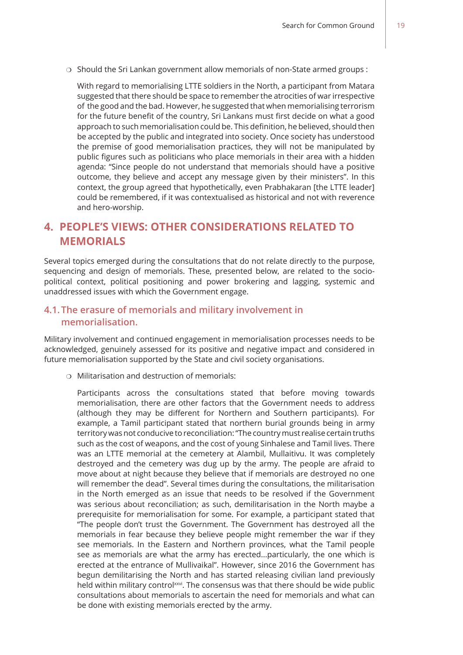❍ Should the Sri Lankan government allow memorials of non-State armed groups :

With regard to memorialising LTTE soldiers in the North, a participant from Matara suggested that there should be space to remember the atrocities of war irrespective of the good and the bad. However, he suggested that when memorialising terrorism for the future benefit of the country, Sri Lankans must first decide on what a good approach to such memorialisation could be. This definition, he believed, should then be accepted by the public and integrated into society. Once society has understood the premise of good memorialisation practices, they will not be manipulated by public figures such as politicians who place memorials in their area with a hidden agenda: "Since people do not understand that memorials should have a positive outcome, they believe and accept any message given by their ministers". In this context, the group agreed that hypothetically, even Prabhakaran [the LTTE leader] could be remembered, if it was contextualised as historical and not with reverence and hero-worship.

# **4. PEOPLE'S VIEWS: OTHER CONSIDERATIONS RELATED TO MEMORIALS**

Several topics emerged during the consultations that do not relate directly to the purpose, sequencing and design of memorials. These, presented below, are related to the sociopolitical context, political positioning and power brokering and lagging, systemic and unaddressed issues with which the Government engage.

### **4.1.The erasure of memorials and military involvement in memorialisation.**

Military involvement and continued engagement in memorialisation processes needs to be acknowledged, genuinely assessed for its positive and negative impact and considered in future memorialisation supported by the State and civil society organisations.

❍ Militarisation and destruction of memorials:

Participants across the consultations stated that before moving towards memorialisation, there are other factors that the Government needs to address (although they may be different for Northern and Southern participants). For example, a Tamil participant stated that northern burial grounds being in army territory was not conducive to reconciliation: "The country must realise certain truths such as the cost of weapons, and the cost of young Sinhalese and Tamil lives. There was an LTTE memorial at the cemetery at Alambil, Mullaitivu. It was completely destroyed and the cemetery was dug up by the army. The people are afraid to move about at night because they believe that if memorials are destroyed no one will remember the dead". Several times during the consultations, the militarisation in the North emerged as an issue that needs to be resolved if the Government was serious about reconciliation; as such, demilitarisation in the North maybe a prerequisite for memorialisation for some. For example, a participant stated that "The people don't trust the Government. The Government has destroyed all the memorials in fear because they believe people might remember the war if they see memorials. In the Eastern and Northern provinces, what the Tamil people see as memorials are what the army has erected...particularly, the one which is erected at the entrance of Mullivaikal". However, since 2016 the Government has begun demilitarising the North and has started releasing civilian land previously held within military control<sup>xxvi</sup>. The consensus was that there should be wide public consultations about memorials to ascertain the need for memorials and what can be done with existing memorials erected by the army.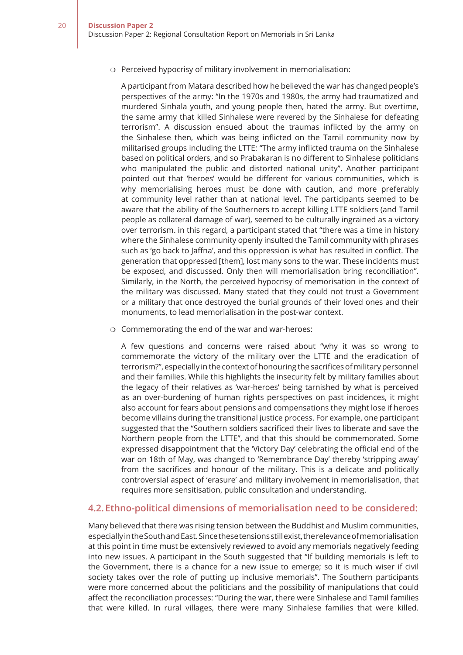❍ Perceived hypocrisy of military involvement in memorialisation:

A participant from Matara described how he believed the war has changed people's perspectives of the army: "In the 1970s and 1980s, the army had traumatized and murdered Sinhala youth, and young people then, hated the army. But overtime, the same army that killed Sinhalese were revered by the Sinhalese for defeating terrorism". A discussion ensued about the traumas inflicted by the army on the Sinhalese then, which was being inflicted on the Tamil community now by militarised groups including the LTTE: "The army inflicted trauma on the Sinhalese based on political orders, and so Prabakaran is no different to Sinhalese politicians who manipulated the public and distorted national unity". Another participant pointed out that 'heroes' would be different for various communities, which is why memorialising heroes must be done with caution, and more preferably at community level rather than at national level. The participants seemed to be aware that the ability of the Southerners to accept killing LTTE soldiers (and Tamil people as collateral damage of war), seemed to be culturally ingrained as a victory over terrorism. in this regard, a participant stated that "there was a time in history where the Sinhalese community openly insulted the Tamil community with phrases such as 'go back to Jaffna', and this oppression is what has resulted in conflict. The generation that oppressed [them], lost many sons to the war. These incidents must be exposed, and discussed. Only then will memorialisation bring reconciliation". Similarly, in the North, the perceived hypocrisy of memorisation in the context of the military was discussed. Many stated that they could not trust a Government or a military that once destroyed the burial grounds of their loved ones and their monuments, to lead memorialisation in the post-war context.

❍ Commemorating the end of the war and war-heroes:

A few questions and concerns were raised about "why it was so wrong to commemorate the victory of the military over the LTTE and the eradication of terrorism?", especially in the context of honouring the sacrifices of military personnel and their families. While this highlights the insecurity felt by military families about the legacy of their relatives as 'war-heroes' being tarnished by what is perceived as an over-burdening of human rights perspectives on past incidences, it might also account for fears about pensions and compensations they might lose if heroes become villains during the transitional justice process. For example, one participant suggested that the "Southern soldiers sacrificed their lives to liberate and save the Northern people from the LTTE", and that this should be commemorated. Some expressed disappointment that the 'Victory Day' celebrating the official end of the war on 18th of May, was changed to 'Remembrance Day' thereby 'stripping away' from the sacrifices and honour of the military. This is a delicate and politically controversial aspect of 'erasure' and military involvement in memorialisation, that requires more sensitisation, public consultation and understanding.

#### **4.2. Ethno-political dimensions of memorialisation need to be considered:**

Many believed that there was rising tension between the Buddhist and Muslim communities, especially in the South and East. Since these tensions still exist, the relevance of memorialisation at this point in time must be extensively reviewed to avoid any memorials negatively feeding into new issues. A participant in the South suggested that "If building memorials is left to the Government, there is a chance for a new issue to emerge; so it is much wiser if civil society takes over the role of putting up inclusive memorials". The Southern participants were more concerned about the politicians and the possibility of manipulations that could affect the reconciliation processes: "During the war, there were Sinhalese and Tamil families that were killed. In rural villages, there were many Sinhalese families that were killed.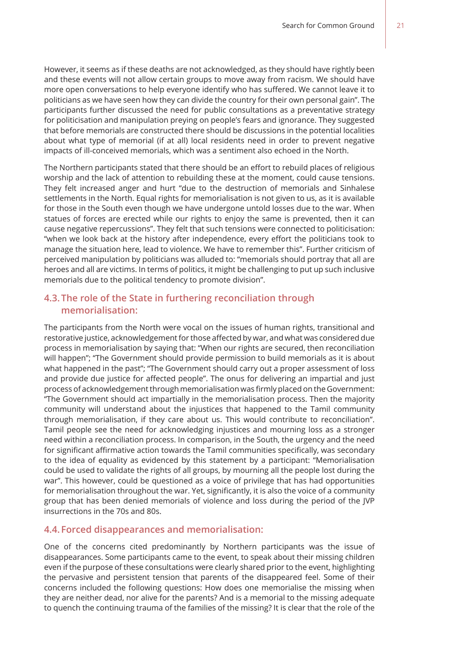However, it seems as if these deaths are not acknowledged, as they should have rightly been and these events will not allow certain groups to move away from racism. We should have more open conversations to help everyone identify who has suffered. We cannot leave it to politicians as we have seen how they can divide the country for their own personal gain". The participants further discussed the need for public consultations as a preventative strategy for politicisation and manipulation preying on people's fears and ignorance. They suggested that before memorials are constructed there should be discussions in the potential localities about what type of memorial (if at all) local residents need in order to prevent negative impacts of ill-conceived memorials, which was a sentiment also echoed in the North.

The Northern participants stated that there should be an effort to rebuild places of religious worship and the lack of attention to rebuilding these at the moment, could cause tensions. They felt increased anger and hurt "due to the destruction of memorials and Sinhalese settlements in the North. Equal rights for memorialisation is not given to us, as it is available for those in the South even though we have undergone untold losses due to the war. When statues of forces are erected while our rights to enjoy the same is prevented, then it can cause negative repercussions". They felt that such tensions were connected to politicisation: "when we look back at the history after independence, every effort the politicians took to manage the situation here, lead to violence. We have to remember this". Further criticism of perceived manipulation by politicians was alluded to: "memorials should portray that all are heroes and all are victims. In terms of politics, it might be challenging to put up such inclusive memorials due to the political tendency to promote division".

# **4.3.The role of the State in furthering reconciliation through memorialisation:**

The participants from the North were vocal on the issues of human rights, transitional and restorative justice, acknowledgement for those affected by war, and what was considered due process in memorialisation by saying that: "When our rights are secured, then reconciliation will happen"; "The Government should provide permission to build memorials as it is about what happened in the past"; "The Government should carry out a proper assessment of loss and provide due justice for affected people". The onus for delivering an impartial and just process of acknowledgement through memorialisation was firmly placed on the Government: "The Government should act impartially in the memorialisation process. Then the majority community will understand about the injustices that happened to the Tamil community through memorialisation, if they care about us. This would contribute to reconciliation". Tamil people see the need for acknowledging injustices and mourning loss as a stronger need within a reconciliation process. In comparison, in the South, the urgency and the need for significant affirmative action towards the Tamil communities specifically, was secondary to the idea of equality as evidenced by this statement by a participant: "Memorialisation could be used to validate the rights of all groups, by mourning all the people lost during the war". This however, could be questioned as a voice of privilege that has had opportunities for memorialisation throughout the war. Yet, significantly, it is also the voice of a community group that has been denied memorials of violence and loss during the period of the JVP insurrections in the 70s and 80s.

#### **4.4. Forced disappearances and memorialisation:**

One of the concerns cited predominantly by Northern participants was the issue of disappearances. Some participants came to the event, to speak about their missing children even if the purpose of these consultations were clearly shared prior to the event, highlighting the pervasive and persistent tension that parents of the disappeared feel. Some of their concerns included the following questions: How does one memorialise the missing when they are neither dead, nor alive for the parents? And is a memorial to the missing adequate to quench the continuing trauma of the families of the missing? It is clear that the role of the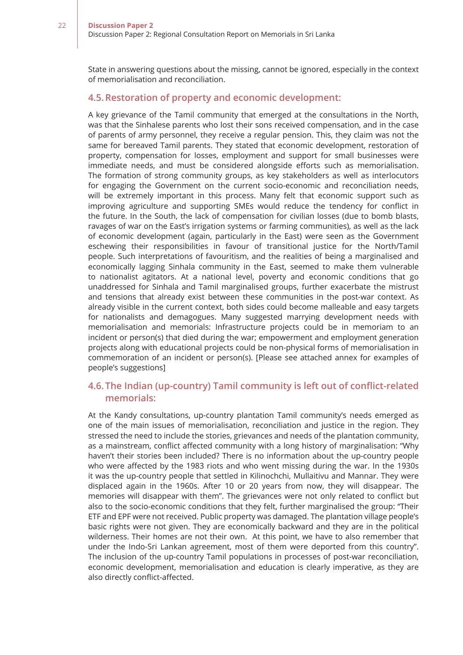State in answering questions about the missing, cannot be ignored, especially in the context of memorialisation and reconciliation.

## **4.5.Restoration of property and economic development:**

A key grievance of the Tamil community that emerged at the consultations in the North, was that the Sinhalese parents who lost their sons received compensation, and in the case of parents of army personnel, they receive a regular pension. This, they claim was not the same for bereaved Tamil parents. They stated that economic development, restoration of property, compensation for losses, employment and support for small businesses were immediate needs, and must be considered alongside efforts such as memorialisation. The formation of strong community groups, as key stakeholders as well as interlocutors for engaging the Government on the current socio-economic and reconciliation needs, will be extremely important in this process. Many felt that economic support such as improving agriculture and supporting SMEs would reduce the tendency for conflict in the future. In the South, the lack of compensation for civilian losses (due to bomb blasts, ravages of war on the East's irrigation systems or farming communities), as well as the lack of economic development (again, particularly in the East) were seen as the Government eschewing their responsibilities in favour of transitional justice for the North/Tamil people. Such interpretations of favouritism, and the realities of being a marginalised and economically lagging Sinhala community in the East, seemed to make them vulnerable to nationalist agitators. At a national level, poverty and economic conditions that go unaddressed for Sinhala and Tamil marginalised groups, further exacerbate the mistrust and tensions that already exist between these communities in the post-war context. As already visible in the current context, both sides could become malleable and easy targets for nationalists and demagogues. Many suggested marrying development needs with memorialisation and memorials: Infrastructure projects could be in memoriam to an incident or person(s) that died during the war; empowerment and employment generation projects along with educational projects could be non-physical forms of memorialisation in commemoration of an incident or person(s). [Please see attached annex for examples of people's suggestions]

# **4.6. The Indian (up-country) Tamil community is left out of conflict-related memorials:**

At the Kandy consultations, up-country plantation Tamil community's needs emerged as one of the main issues of memorialisation, reconciliation and justice in the region. They stressed the need to include the stories, grievances and needs of the plantation community, as a mainstream, conflict affected community with a long history of marginalisation: "Why haven't their stories been included? There is no information about the up-country people who were affected by the 1983 riots and who went missing during the war. In the 1930s it was the up-country people that settled in Kilinochchi, Mullaitivu and Mannar. They were displaced again in the 1960s. After 10 or 20 years from now, they will disappear. The memories will disappear with them". The grievances were not only related to conflict but also to the socio-economic conditions that they felt, further marginalised the group: "Their ETF and EPF were not received. Public property was damaged. The plantation village people's basic rights were not given. They are economically backward and they are in the political wilderness. Their homes are not their own. At this point, we have to also remember that under the Indo-Sri Lankan agreement, most of them were deported from this country". The inclusion of the up-country Tamil populations in processes of post-war reconciliation, economic development, memorialisation and education is clearly imperative, as they are also directly conflict-affected.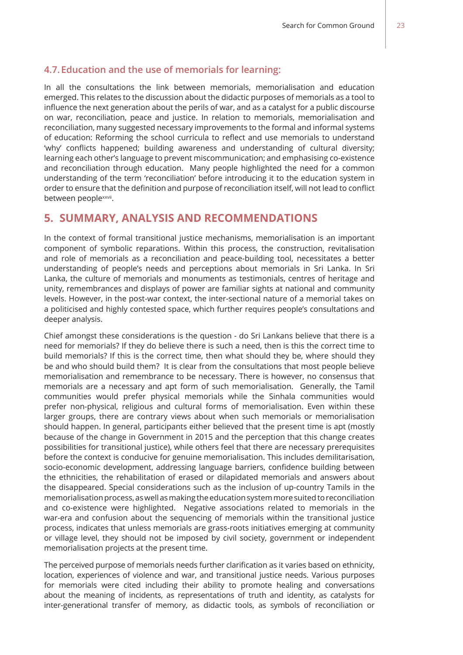#### **4.7. Education and the use of memorials for learning:**

In all the consultations the link between memorials, memorialisation and education emerged. This relates to the discussion about the didactic purposes of memorials as a tool to influence the next generation about the perils of war, and as a catalyst for a public discourse on war, reconciliation, peace and justice. In relation to memorials, memorialisation and reconciliation, many suggested necessary improvements to the formal and informal systems of education: Reforming the school curricula to reflect and use memorials to understand 'why' conflicts happened; building awareness and understanding of cultural diversity; learning each other's language to prevent miscommunication; and emphasising co-existence and reconciliation through education. Many people highlighted the need for a common understanding of the term 'reconciliation' before introducing it to the education system in order to ensure that the definition and purpose of reconciliation itself, will not lead to conflict between people<sup>xxvii</sup>.

# **5. SUMMARY, ANALYSIS AND RECOMMENDATIONS**

In the context of formal transitional justice mechanisms, memorialisation is an important component of symbolic reparations. Within this process, the construction, revitalisation and role of memorials as a reconciliation and peace-building tool, necessitates a better understanding of people's needs and perceptions about memorials in Sri Lanka. In Sri Lanka, the culture of memorials and monuments as testimonials, centres of heritage and unity, remembrances and displays of power are familiar sights at national and community levels. However, in the post-war context, the inter-sectional nature of a memorial takes on a politicised and highly contested space, which further requires people's consultations and deeper analysis.

Chief amongst these considerations is the question - do Sri Lankans believe that there is a need for memorials? If they do believe there is such a need, then is this the correct time to build memorials? If this is the correct time, then what should they be, where should they be and who should build them? It is clear from the consultations that most people believe memorialisation and remembrance to be necessary. There is however, no consensus that memorials are a necessary and apt form of such memorialisation. Generally, the Tamil communities would prefer physical memorials while the Sinhala communities would prefer non-physical, religious and cultural forms of memorialisation. Even within these larger groups, there are contrary views about when such memorials or memorialisation should happen. In general, participants either believed that the present time is apt (mostly because of the change in Government in 2015 and the perception that this change creates possibilities for transitional justice), while others feel that there are necessary prerequisites before the context is conducive for genuine memorialisation. This includes demilitarisation, socio-economic development, addressing language barriers, confidence building between the ethnicities, the rehabilitation of erased or dilapidated memorials and answers about the disappeared. Special considerations such as the inclusion of up-country Tamils in the memorialisation process, as well as making the education system more suited to reconciliation and co-existence were highlighted. Negative associations related to memorials in the war-era and confusion about the sequencing of memorials within the transitional justice process, indicates that unless memorials are grass-roots initiatives emerging at community or village level, they should not be imposed by civil society, government or independent memorialisation projects at the present time.

The perceived purpose of memorials needs further clarification as it varies based on ethnicity, location, experiences of violence and war, and transitional justice needs. Various purposes for memorials were cited including their ability to promote healing and conversations about the meaning of incidents, as representations of truth and identity, as catalysts for inter-generational transfer of memory, as didactic tools, as symbols of reconciliation or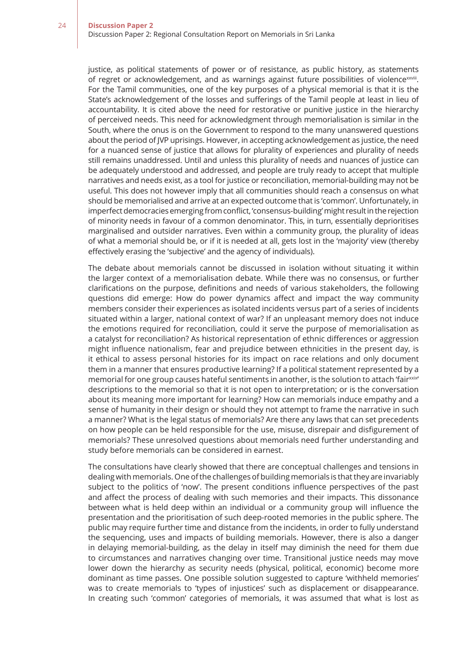justice, as political statements of power or of resistance, as public history, as statements of regret or acknowledgement, and as warnings against future possibilities of violencexxviii. For the Tamil communities, one of the key purposes of a physical memorial is that it is the State's acknowledgement of the losses and sufferings of the Tamil people at least in lieu of accountability. It is cited above the need for restorative or punitive justice in the hierarchy of perceived needs. This need for acknowledgment through memorialisation is similar in the South, where the onus is on the Government to respond to the many unanswered questions about the period of JVP uprisings. However, in accepting acknowledgement as justice, the need for a nuanced sense of justice that allows for plurality of experiences and plurality of needs still remains unaddressed. Until and unless this plurality of needs and nuances of justice can be adequately understood and addressed, and people are truly ready to accept that multiple narratives and needs exist, as a tool for justice or reconciliation, memorial-building may not be useful. This does not however imply that all communities should reach a consensus on what should be memorialised and arrive at an expected outcome that is 'common'. Unfortunately, in imperfect democracies emerging from conflict, 'consensus-building' might result in the rejection of minority needs in favour of a common denominator. This, in turn, essentially deprioritises marginalised and outsider narratives. Even within a community group, the plurality of ideas of what a memorial should be, or if it is needed at all, gets lost in the 'majority' view (thereby effectively erasing the 'subjective' and the agency of individuals).

The debate about memorials cannot be discussed in isolation without situating it within the larger context of a memorialisation debate. While there was no consensus, or further clarifications on the purpose, definitions and needs of various stakeholders, the following questions did emerge: How do power dynamics affect and impact the way community members consider their experiences as isolated incidents versus part of a series of incidents situated within a larger, national context of war? If an unpleasant memory does not induce the emotions required for reconciliation, could it serve the purpose of memorialisation as a catalyst for reconciliation? As historical representation of ethnic differences or aggression might influence nationalism, fear and prejudice between ethnicities in the present day, is it ethical to assess personal histories for its impact on race relations and only document them in a manner that ensures productive learning? If a political statement represented by a memorial for one group causes hateful sentiments in another, is the solution to attach 'fair $x$ ix' descriptions to the memorial so that it is not open to interpretation; or is the conversation about its meaning more important for learning? How can memorials induce empathy and a sense of humanity in their design or should they not attempt to frame the narrative in such a manner? What is the legal status of memorials? Are there any laws that can set precedents on how people can be held responsible for the use, misuse, disrepair and disfigurement of memorials? These unresolved questions about memorials need further understanding and study before memorials can be considered in earnest.

The consultations have clearly showed that there are conceptual challenges and tensions in dealing with memorials. One of the challenges of building memorials is that they are invariably subject to the politics of 'now'. The present conditions influence perspectives of the past and affect the process of dealing with such memories and their impacts. This dissonance between what is held deep within an individual or a community group will influence the presentation and the prioritisation of such deep-rooted memories in the public sphere. The public may require further time and distance from the incidents, in order to fully understand the sequencing, uses and impacts of building memorials. However, there is also a danger in delaying memorial-building, as the delay in itself may diminish the need for them due to circumstances and narratives changing over time. Transitional justice needs may move lower down the hierarchy as security needs (physical, political, economic) become more dominant as time passes. One possible solution suggested to capture 'withheld memories' was to create memorials to 'types of injustices' such as displacement or disappearance. In creating such 'common' categories of memorials, it was assumed that what is lost as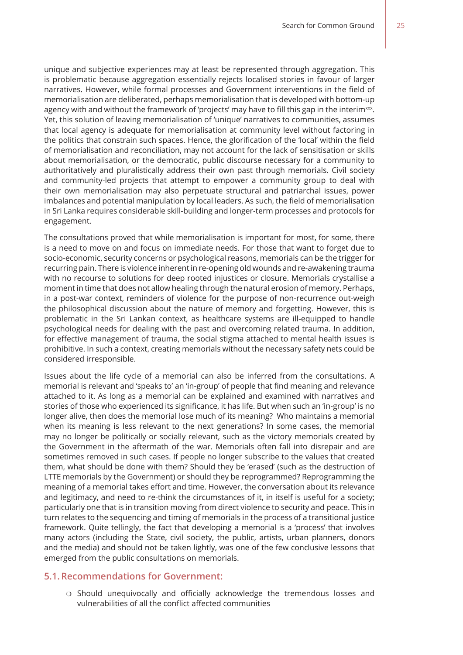unique and subjective experiences may at least be represented through aggregation. This is problematic because aggregation essentially rejects localised stories in favour of larger narratives. However, while formal processes and Government interventions in the field of memorialisation are deliberated, perhaps memorialisation that is developed with bottom-up agency with and without the framework of 'projects' may have to fill this gap in the interim<sup>xxx</sup>. Yet, this solution of leaving memorialisation of 'unique' narratives to communities, assumes that local agency is adequate for memorialisation at community level without factoring in the politics that constrain such spaces. Hence, the glorification of the 'local' within the field of memorialisation and reconciliation, may not account for the lack of sensitisation or skills about memorialisation, or the democratic, public discourse necessary for a community to authoritatively and pluralistically address their own past through memorials. Civil society and community-led projects that attempt to empower a community group to deal with their own memorialisation may also perpetuate structural and patriarchal issues, power imbalances and potential manipulation by local leaders. As such, the field of memorialisation in Sri Lanka requires considerable skill-building and longer-term processes and protocols for engagement.

The consultations proved that while memorialisation is important for most, for some, there is a need to move on and focus on immediate needs. For those that want to forget due to socio-economic, security concerns or psychological reasons, memorials can be the trigger for recurring pain. There is violence inherent in re-opening old wounds and re-awakening trauma with no recourse to solutions for deep rooted injustices or closure. Memorials crystallise a moment in time that does not allow healing through the natural erosion of memory. Perhaps, in a post-war context, reminders of violence for the purpose of non-recurrence out-weigh the philosophical discussion about the nature of memory and forgetting. However, this is problematic in the Sri Lankan context, as healthcare systems are ill-equipped to handle psychological needs for dealing with the past and overcoming related trauma. In addition, for effective management of trauma, the social stigma attached to mental health issues is prohibitive. In such a context, creating memorials without the necessary safety nets could be considered irresponsible.

Issues about the life cycle of a memorial can also be inferred from the consultations. A memorial is relevant and 'speaks to' an 'in-group' of people that find meaning and relevance attached to it. As long as a memorial can be explained and examined with narratives and stories of those who experienced its significance, it has life. But when such an 'in-group' is no longer alive, then does the memorial lose much of its meaning? Who maintains a memorial when its meaning is less relevant to the next generations? In some cases, the memorial may no longer be politically or socially relevant, such as the victory memorials created by the Government in the aftermath of the war. Memorials often fall into disrepair and are sometimes removed in such cases. If people no longer subscribe to the values that created them, what should be done with them? Should they be 'erased' (such as the destruction of LTTE memorials by the Government) or should they be reprogrammed? Reprogramming the meaning of a memorial takes effort and time. However, the conversation about its relevance and legitimacy, and need to re-think the circumstances of it, in itself is useful for a society; particularly one that is in transition moving from direct violence to security and peace. This in turn relates to the sequencing and timing of memorials in the process of a transitional justice framework. Quite tellingly, the fact that developing a memorial is a 'process' that involves many actors (including the State, civil society, the public, artists, urban planners, donors and the media) and should not be taken lightly, was one of the few conclusive lessons that emerged from the public consultations on memorials.

### **5.1.Recommendations for Government:**

❍ Should unequivocally and officially acknowledge the tremendous losses and vulnerabilities of all the conflict affected communities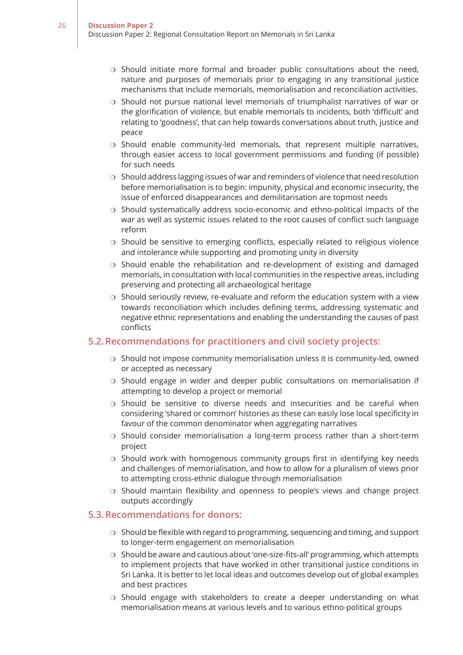- ❍ Should initiate more formal and broader public consultations about the need, nature and purposes of memorials prior to engaging in any transitional justice mechanisms that include memorials, memorialisation and reconciliation activities.
- ❍ Should not pursue national level memorials of triumphalist narratives of war or the glorification of violence, but enable memorials to incidents, both 'difficult' and relating to 'goodness', that can help towards conversations about truth, justice and peace
- ❍ Should enable community-led memorials, that represent multiple narratives, through easier access to local government permissions and funding (if possible) for such needs
- ❍ Should address lagging issues of war and reminders of violence that need resolution before memorialisation is to begin: impunity, physical and economic insecurity, the issue of enforced disappearances and demilitarisation are topmost needs
- ❍ Should systematically address socio-economic and ethno-political impacts of the war as well as systemic issues related to the root causes of conflict such language reform
- ❍ Should be sensitive to emerging conflicts, especially related to religious violence and intolerance while supporting and promoting unity in diversity
- ❍ Should enable the rehabilitation and re-development of existing and damaged memorials, in consultation with local communities in the respective areas, including preserving and protecting all archaeological heritage
- ❍ Should seriously review, re-evaluate and reform the education system with a view towards reconciliation which includes defining terms, addressing systematic and negative ethnic representations and enabling the understanding the causes of past conflicts

#### **5.2.Recommendations for practitioners and civil society projects:**

- ❍ Should not impose community memorialisation unless it is community-led, owned or accepted as necessary
- ❍ Should engage in wider and deeper public consultations on memorialisation if attempting to develop a project or memorial
- ❍ Should be sensitive to diverse needs and insecurities and be careful when considering 'shared or common' histories as these can easily lose local specificity in favour of the common denominator when aggregating narratives
- ❍ Should consider memorialisation a long-term process rather than a short-term project
- ❍ Should work with homogenous community groups first in identifying key needs and challenges of memorialisation, and how to allow for a pluralism of views prior to attempting cross-ethnic dialogue through memorialisation
- ❍ Should maintain flexibility and openness to people's views and change project outputs accordingly

#### **5.3.Recommendations for donors:**

- ❍ Should be flexible with regard to programming, sequencing and timing, and support to longer-term engagement on memorialisation
- ❍ Should be aware and cautious about 'one-size-fits-all' programming, which attempts to implement projects that have worked in other transitional justice conditions in Sri Lanka. It is better to let local ideas and outcomes develop out of global examples and best practices
- ❍ Should engage with stakeholders to create a deeper understanding on what memorialisation means at various levels and to various ethno-political groups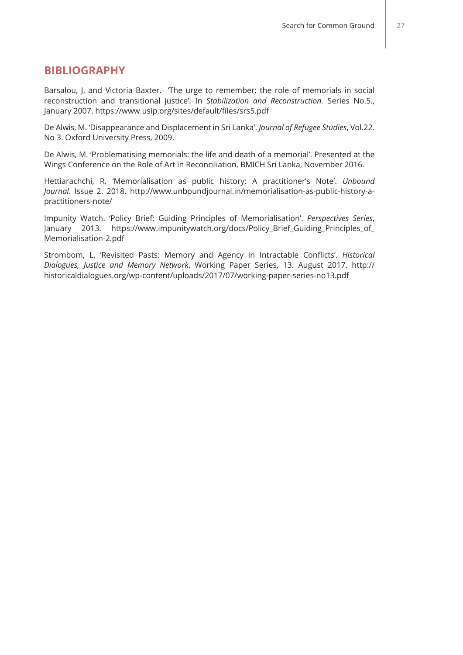# **BIBLIOGRAPHY**

Barsalou, J. and Victoria Baxter. 'The urge to remember: the role of memorials in social reconstruction and transitional justice'. In *Stabilization and Reconstruction.* Series No.5., January 2007. https://www.usip.org/sites/default/files/srs5.pdf

De Alwis, M. 'Disappearance and Displacement in Sri Lanka'. *Journal of Refugee Studies*, Vol.22. No 3. Oxford University Press, 2009.

De Alwis, M. 'Problematising memorials: the life and death of a memorial'. Presented at the Wings Conference on the Role of Art in Reconciliation, BMICH Sri Lanka, November 2016.

Hettiarachchi, R. 'Memorialisation as public history: A practitioner's Note'. *Unbound Journal*. Issue 2. 2018. http://www.unboundjournal.in/memorialisation-as-public-history-apractitioners-note/

Impunity Watch. 'Policy Brief: Guiding Principles of Memorialisation'. *Perspectives Series*, January 2013. https://www.impunitywatch.org/docs/Policy\_Brief\_Guiding\_Principles\_of\_ Memorialisation-2.pdf

Strombom, L. 'Revisited Pasts: Memory and Agency in Intractable Conflicts'. *Historical Dialogues, Justice and Memory Network*, Working Paper Series, 13. August 2017. http:// historicaldialogues.org/wp-content/uploads/2017/07/working-paper-series-no13.pdf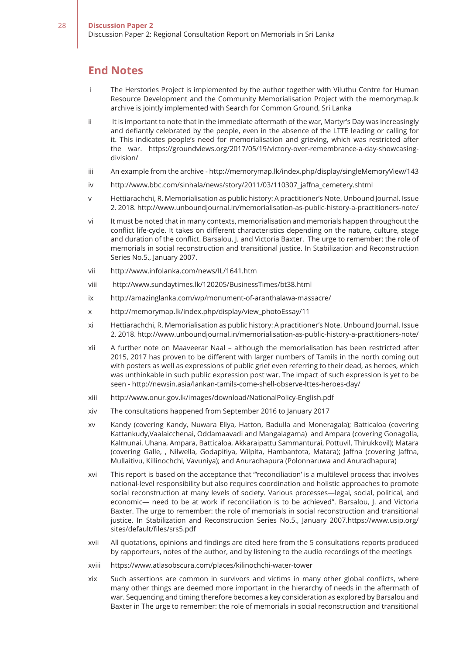# **End Notes**

- i The Herstories Project is implemented by the author together with Viluthu Centre for Human Resource Development and the Community Memorialisation Project with the memorymap.lk archive is jointly implemented with Search for Common Ground, Sri Lanka
- ii It is important to note that in the immediate aftermath of the war, Martyr's Day was increasingly and defiantly celebrated by the people, even in the absence of the LTTE leading or calling for it. This indicates people's need for memorialisation and grieving, which was restricted after the war. https://groundviews.org/2017/05/19/victory-over-remembrance-a-day-showcasingdivision/
- iii An example from the archive http://memorymap.lk/index.php/display/singleMemoryView/143
- iv http://www.bbc.com/sinhala/news/story/2011/03/110307\_jaffna\_cemetery.shtml
- v Hettiarachchi, R. Memorialisation as public history: A practitioner's Note. Unbound Journal. Issue 2. 2018. http://www.unboundjournal.in/memorialisation-as-public-history-a-practitioners-note/
- vi It must be noted that in many contexts, memorialisation and memorials happen throughout the conflict life-cycle. It takes on different characteristics depending on the nature, culture, stage and duration of the conflict. Barsalou, J. and Victoria Baxter. The urge to remember: the role of memorials in social reconstruction and transitional justice. In Stabilization and Reconstruction Series No.5., January 2007.
- vii http://www.infolanka.com/news/IL/1641.htm
- viii http://www.sundaytimes.lk/120205/BusinessTimes/bt38.html
- ix http://amazinglanka.com/wp/monument-of-aranthalawa-massacre/
- x http://memorymap.lk/index.php/display/view\_photoEssay/11
- xi Hettiarachchi, R. Memorialisation as public history: A practitioner's Note. Unbound Journal. Issue 2. 2018. http://www.unboundjournal.in/memorialisation-as-public-history-a-practitioners-note/
- xii A further note on Maaveerar Naal although the memorialisation has been restricted after 2015, 2017 has proven to be different with larger numbers of Tamils in the north coming out with posters as well as expressions of public grief even referring to their dead, as heroes, which was unthinkable in such public expression post war. The impact of such expression is yet to be seen - http://newsin.asia/lankan-tamils-come-shell-observe-lttes-heroes-day/
- xiii http://www.onur.gov.lk/images/download/NationalPolicy-English.pdf
- xiv The consultations happened from September 2016 to January 2017
- xv Kandy (covering Kandy, Nuwara Eliya, Hatton, Badulla and Moneragala); Batticaloa (covering Kattankudy,Vaalaicchenai, Oddamaavadi and Mangalagama) and Ampara (covering Gonagolla, Kalmunai, Uhana, Ampara, Batticaloa, Akkaraipattu Sammanturai, Pottuvil, Thirukkovil); Matara (covering Galle, , Nilwella, Godapitiya, Wilpita, Hambantota, Matara); Jaffna (covering Jaffna, Mullaitivu, Killinochchi, Vavuniya); and Anuradhapura (Polonnaruwa and Anuradhapura)
- xvi This report is based on the acceptance that "'reconciliation' is a multilevel process that involves national-level responsibility but also requires coordination and holistic approaches to promote social reconstruction at many levels of society. Various processes—legal, social, political, and economic— need to be at work if reconciliation is to be achieved". Barsalou, J. and Victoria Baxter. The urge to remember: the role of memorials in social reconstruction and transitional justice. In Stabilization and Reconstruction Series No.5., January 2007.https://www.usip.org/ sites/default/files/srs5.pdf
- xvii All quotations, opinions and findings are cited here from the 5 consultations reports produced by rapporteurs, notes of the author, and by listening to the audio recordings of the meetings
- xviii https://www.atlasobscura.com/places/kilinochchi-water-tower
- xix Such assertions are common in survivors and victims in many other global conflicts, where many other things are deemed more important in the hierarchy of needs in the aftermath of war. Sequencing and timing therefore becomes a key consideration as explored by Barsalou and Baxter in The urge to remember: the role of memorials in social reconstruction and transitional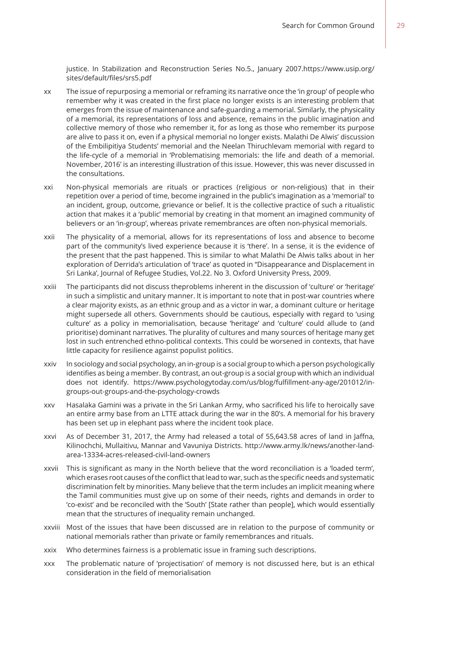justice. In Stabilization and Reconstruction Series No.5., January 2007.https://www.usip.org/ sites/default/files/srs5.pdf

- xx The issue of repurposing a memorial or reframing its narrative once the 'in group' of people who remember why it was created in the first place no longer exists is an interesting problem that emerges from the issue of maintenance and safe-guarding a memorial. Similarly, the physicality of a memorial, its representations of loss and absence, remains in the public imagination and collective memory of those who remember it, for as long as those who remember its purpose are alive to pass it on, even if a physical memorial no longer exists. Malathi De Alwis' discussion of the Embilipitiya Students' memorial and the Neelan Thiruchlevam memorial with regard to the life-cycle of a memorial in 'Problematising memorials: the life and death of a memorial. November, 2016' is an interesting illustration of this issue. However, this was never discussed in the consultations.
- xxi Non-physical memorials are rituals or practices (religious or non-religious) that in their repetition over a period of time, become ingrained in the public's imagination as a 'memorial' to an incident, group, outcome, grievance or belief. It is the collective practice of such a ritualistic action that makes it a 'public' memorial by creating in that moment an imagined community of believers or an 'in-group', whereas private remembrances are often non-physical memorials.
- xxii The physicality of a memorial, allows for its representations of loss and absence to become part of the community's lived experience because it is 'there'. In a sense, it is the evidence of the present that the past happened. This is similar to what Malathi De Alwis talks about in her exploration of Derrida's articulation of 'trace' as quoted in "Disappearance and Displacement in Sri Lanka', Journal of Refugee Studies, Vol.22. No 3. Oxford University Press, 2009.
- xxiii The participants did not discuss theproblems inherent in the discussion of 'culture' or 'heritage' in such a simplistic and unitary manner. It is important to note that in post-war countries where a clear majority exists, as an ethnic group and as a victor in war, a dominant culture or heritage might supersede all others. Governments should be cautious, especially with regard to 'using culture' as a policy in memorialisation, because 'heritage' and 'culture' could allude to (and prioritise) dominant narratives. The plurality of cultures and many sources of heritage many get lost in such entrenched ethno-political contexts. This could be worsened in contexts, that have little capacity for resilience against populist politics.
- xxiv In sociology and social psychology, an in-group is a social group to which a person psychologically identifies as being a member. By contrast, an out-group is a social group with which an individual does not identify. https://www.psychologytoday.com/us/blog/fulfillment-any-age/201012/ingroups-out-groups-and-the-psychology-crowds
- xxv Hasalaka Gamini was a private in the Sri Lankan Army, who sacrificed his life to heroically save an entire army base from an LTTE attack during the war in the 80's. A memorial for his bravery has been set up in elephant pass where the incident took place.
- xxvi As of December 31, 2017, the Army had released a total of 55,643.58 acres of land in Jaffna, Kilinochchi, Mullaitivu, Mannar and Vavuniya Districts. http://www.army.lk/news/another-landarea-13334-acres-released-civil-land-owners
- xxvii This is significant as many in the North believe that the word reconciliation is a 'loaded term', which erases root causes of the conflict that lead to war, such as the specific needs and systematic discrimination felt by minorities. Many believe that the term includes an implicit meaning where the Tamil communities must give up on some of their needs, rights and demands in order to 'co-exist' and be reconciled with the 'South' [State rather than people], which would essentially mean that the structures of inequality remain unchanged.
- xxviii Most of the issues that have been discussed are in relation to the purpose of community or national memorials rather than private or family remembrances and rituals.
- xxix Who determines fairness is a problematic issue in framing such descriptions.
- xxx The problematic nature of 'projectisation' of memory is not discussed here, but is an ethical consideration in the field of memorialisation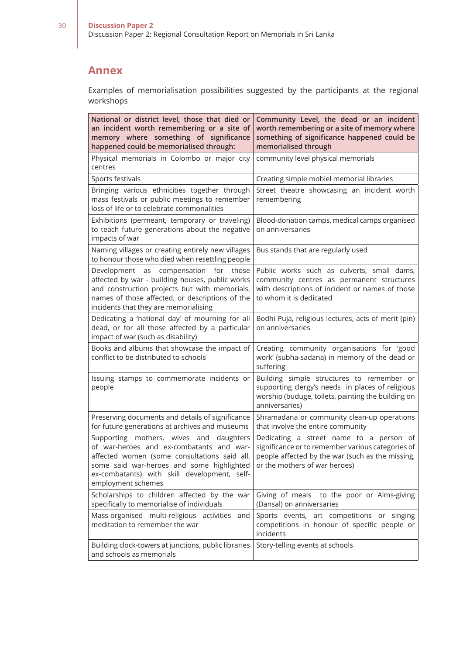# **Annex**

Examples of memorialisation possibilities suggested by the participants at the regional workshops

| National or district level, those that died or<br>an incident worth remembering or a site of<br>memory where something of significance<br>happened could be memorialised through:                                                                      | Community Level, the dead or an incident<br>worth remembering or a site of memory where<br>something of significance happened could be<br>memorialised through                    |  |
|--------------------------------------------------------------------------------------------------------------------------------------------------------------------------------------------------------------------------------------------------------|-----------------------------------------------------------------------------------------------------------------------------------------------------------------------------------|--|
| Physical memorials in Colombo or major city<br>centres                                                                                                                                                                                                 | community level physical memorials                                                                                                                                                |  |
| Sports festivals                                                                                                                                                                                                                                       | Creating simple mobiel memorial libraries                                                                                                                                         |  |
| Bringing various ethnicities together through<br>mass festivals or public meetings to remember<br>loss of life or to celebrate commonalities                                                                                                           | Street theatre showcasing an incident worth<br>remembering                                                                                                                        |  |
| Exhibitions (permeant, temporary or traveling)<br>to teach future generations about the negative<br>impacts of war                                                                                                                                     | Blood-donation camps, medical camps organised<br>on anniversaries                                                                                                                 |  |
| Naming villages or creating entirely new villages<br>to honour those who died when resettling people                                                                                                                                                   | Bus stands that are regularly used                                                                                                                                                |  |
| Development as compensation for those<br>affected by war - building houses, public works<br>and construction projects but with memorials,<br>names of those affected, or descriptions of the<br>incidents that they are memorialising                  | Public works such as culverts, small dams,<br>community centres as permanent structures<br>with descriptions of incident or names of those<br>to whom it is dedicated             |  |
| Dedicating a 'national day' of mourning for all<br>dead, or for all those affected by a particular<br>impact of war (such as disability)                                                                                                               | Bodhi Puja, religious lectures, acts of merit (pin)<br>on anniversaries                                                                                                           |  |
| Books and albums that showcase the impact of<br>conflict to be distributed to schools                                                                                                                                                                  | Creating community organisations for 'good<br>work' (subha-sadana) in memory of the dead or<br>suffering                                                                          |  |
| Issuing stamps to commemorate incidents or<br>people                                                                                                                                                                                                   | Building simple structures to remember or<br>supporting clergy's needs in places of religious<br>worship (buduge, toilets, painting the building on<br>anniversaries)             |  |
| Preserving documents and details of significance<br>for future generations at archives and museums                                                                                                                                                     | Shramadana or community clean-up operations<br>that involve the entire community                                                                                                  |  |
| Supporting mothers, wives and daughters<br>of war-heroes and ex-combatants and war-<br>affected women (some consultations said all,<br>some said war-heroes and some highlighted<br>ex-combatants) with skill development, self-<br>employment schemes | Dedicating a street name to a person of<br>significance or to remember various categories of<br>people affected by the war (such as the missing,<br>or the mothers of war heroes) |  |
| Scholarships to children affected by the war<br>specifically to memorialise of individuals                                                                                                                                                             | Giving of meals to the poor or Alms-giving<br>(Dansal) on anniversaries                                                                                                           |  |
| Mass-organised multi-religious activities<br>and<br>meditation to remember the war                                                                                                                                                                     | Sports events, art competitions or singing<br>competitions in honour of specific people or<br>incidents                                                                           |  |
| Building clock-towers at junctions, public libraries<br>and schools as memorials                                                                                                                                                                       | Story-telling events at schools                                                                                                                                                   |  |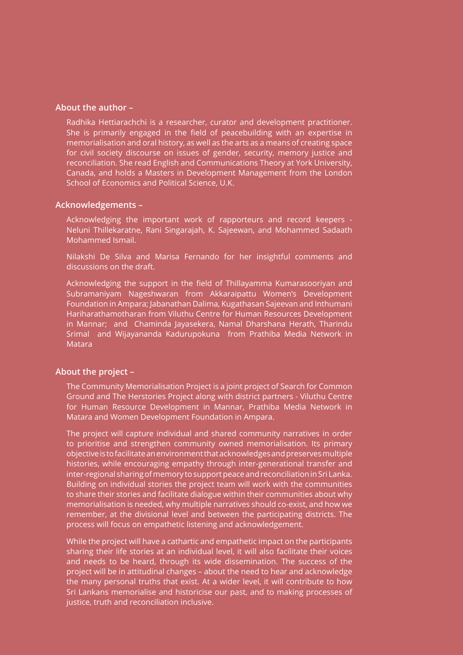#### **About the author –**

Radhika Hettiarachchi is a researcher, curator and development practitioner. She is primarily engaged in the field of peacebuilding with an expertise in memorialisation and oral history, as well as the arts as a means of creating space for civil society discourse on issues of gender, security, memory justice and reconciliation. She read English and Communications Theory at York University, Canada, and holds a Masters in Development Management from the London School of Economics and Political Science, U.K.

#### **Acknowledgements –**

Acknowledging the important work of rapporteurs and record keepers - Neluni Thillekaratne, Rani Singarajah, K. Sajeewan, and Mohammed Sadaath Mohammed Ismail.

Nilakshi De Silva and Marisa Fernando for her insightful comments and discussions on the draft.

Acknowledging the support in the field of Thillayamma Kumarasooriyan and Subramaniyam Nageshwaran from Akkaraipattu Women's Development Foundation in Ampara; Jabanathan Dalima, Kugathasan Sajeevan and Inthumani Hariharathamotharan from Viluthu Centre for Human Resources Development in Mannar; and Chaminda Jayasekera, Namal Dharshana Herath, Tharindu Srimal and Wijayananda Kadurupokuna from Prathiba Media Network in **Matara** 

#### **About the project –**

The Community Memorialisation Project is a joint project of Search for Common Ground and The Herstories Project along with district partners - Viluthu Centre for Human Resource Development in Mannar, Prathiba Media Network in Matara and Women Development Foundation in Ampara.

The project will capture individual and shared community narratives in order to prioritise and strengthen community owned memorialisation. Its primary objective is to facilitate an environment that acknowledges and preserves multiple histories, while encouraging empathy through inter-generational transfer and inter-regional sharing of memory to support peace and reconciliation in Sri Lanka. Building on individual stories the project team will work with the communities to share their stories and facilitate dialogue within their communities about why memorialisation is needed, why multiple narratives should co-exist, and how we remember, at the divisional level and between the participating districts. The process will focus on empathetic listening and acknowledgement.

While the project will have a cathartic and empathetic impact on the participants sharing their life stories at an individual level, it will also facilitate their voices and needs to be heard, through its wide dissemination. The success of the project will be in attitudinal changes – about the need to hear and acknowledge the many personal truths that exist. At a wider level, it will contribute to how Sri Lankans memorialise and historicise our past, and to making processes of justice, truth and reconciliation inclusive.